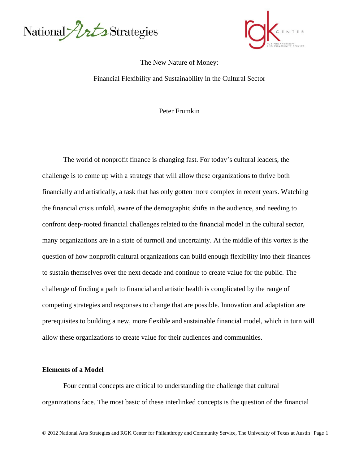



### The New Nature of Money:

Financial Flexibility and Sustainability in the Cultural Sector

Peter Frumkin

The world of nonprofit finance is changing fast. For today's cultural leaders, the challenge is to come up with a strategy that will allow these organizations to thrive both financially and artistically, a task that has only gotten more complex in recent years. Watching the financial crisis unfold, aware of the demographic shifts in the audience, and needing to confront deep-rooted financial challenges related to the financial model in the cultural sector, many organizations are in a state of turmoil and uncertainty. At the middle of this vortex is the question of how nonprofit cultural organizations can build enough flexibility into their finances to sustain themselves over the next decade and continue to create value for the public. The challenge of finding a path to financial and artistic health is complicated by the range of competing strategies and responses to change that are possible. Innovation and adaptation are prerequisites to building a new, more flexible and sustainable financial model, which in turn will allow these organizations to create value for their audiences and communities.

#### **Elements of a Model**

 Four central concepts are critical to understanding the challenge that cultural organizations face. The most basic of these interlinked concepts is the question of the financial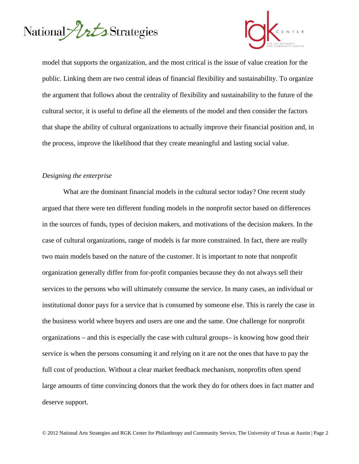



model that supports the organization, and the most critical is the issue of value creation for the public. Linking them are two central ideas of financial flexibility and sustainability. To organize the argument that follows about the centrality of flexibility and sustainability to the future of the cultural sector, it is useful to define all the elements of the model and then consider the factors that shape the ability of cultural organizations to actually improve their financial position and, in the process, improve the likelihood that they create meaningful and lasting social value.

### *Designing the enterprise*

 What are the dominant financial models in the cultural sector today? One recent study argued that there were ten different funding models in the nonprofit sector based on differences in the sources of funds, types of decision makers, and motivations of the decision makers. In the case of cultural organizations, range of models is far more constrained. In fact, there are really two main models based on the nature of the customer. It is important to note that nonprofit organization generally differ from for-profit companies because they do not always sell their services to the persons who will ultimately consume the service. In many cases, an individual or institutional donor pays for a service that is consumed by someone else. This is rarely the case in the business world where buyers and users are one and the same. One challenge for nonprofit organizations – and this is especially the case with cultural groups– is knowing how good their service is when the persons consuming it and relying on it are not the ones that have to pay the full cost of production. Without a clear market feedback mechanism, nonprofits often spend large amounts of time convincing donors that the work they do for others does in fact matter and deserve support.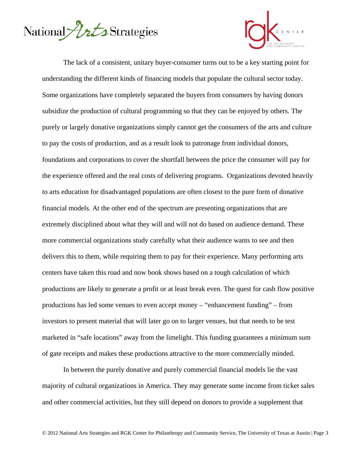



The lack of a consistent, unitary buyer-consumer turns out to be a key starting point for understanding the different kinds of financing models that populate the cultural sector today. Some organizations have completely separated the buyers from consumers by having donors subsidize the production of cultural programming so that they can be enjoyed by others. The purely or largely donative organizations simply cannot get the consumers of the arts and culture to pay the costs of production, and as a result look to patronage from individual donors, foundations and corporations to cover the shortfall between the price the consumer will pay for the experience offered and the real costs of delivering programs. Organizations devoted heavily to arts education for disadvantaged populations are often closest to the pure form of donative financial models. At the other end of the spectrum are presenting organizations that are extremely disciplined about what they will and will not do based on audience demand. These more commercial organizations study carefully what their audience wants to see and then delivers this to them, while requiring them to pay for their experience. Many performing arts centers have taken this road and now book shows based on a tough calculation of which productions are likely to generate a profit or at least break even. The quest for cash flow positive productions has led some venues to even accept money – "enhancement funding" – from investors to present material that will later go on to larger venues, but that needs to be test marketed in "safe locations" away from the limelight. This funding guarantees a minimum sum of gate receipts and makes these productions attractive to the more commercially minded.

 In between the purely donative and purely commercial financial models lie the vast majority of cultural organizations in America. They may generate some income from ticket sales and other commercial activities, but they still depend on donors to provide a supplement that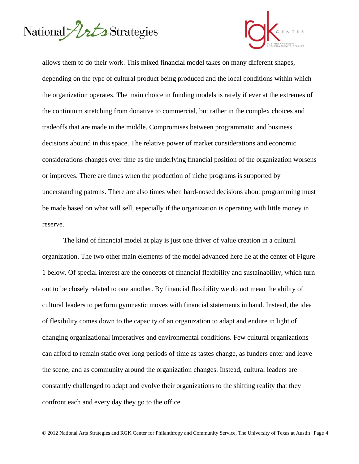



allows them to do their work. This mixed financial model takes on many different shapes, depending on the type of cultural product being produced and the local conditions within which the organization operates. The main choice in funding models is rarely if ever at the extremes of the continuum stretching from donative to commercial, but rather in the complex choices and tradeoffs that are made in the middle. Compromises between programmatic and business decisions abound in this space. The relative power of market considerations and economic considerations changes over time as the underlying financial position of the organization worsens or improves. There are times when the production of niche programs is supported by understanding patrons. There are also times when hard-nosed decisions about programming must be made based on what will sell, especially if the organization is operating with little money in reserve.

 The kind of financial model at play is just one driver of value creation in a cultural organization. The two other main elements of the model advanced here lie at the center of Figure 1 below. Of special interest are the concepts of financial flexibility and sustainability, which turn out to be closely related to one another. By financial flexibility we do not mean the ability of cultural leaders to perform gymnastic moves with financial statements in hand. Instead, the idea of flexibility comes down to the capacity of an organization to adapt and endure in light of changing organizational imperatives and environmental conditions. Few cultural organizations can afford to remain static over long periods of time as tastes change, as funders enter and leave the scene, and as community around the organization changes. Instead, cultural leaders are constantly challenged to adapt and evolve their organizations to the shifting reality that they confront each and every day they go to the office.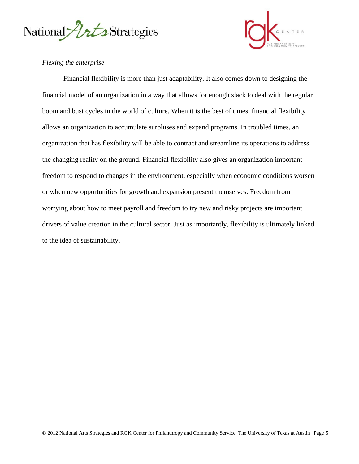



# *Flexing the enterprise*

 Financial flexibility is more than just adaptability. It also comes down to designing the financial model of an organization in a way that allows for enough slack to deal with the regular boom and bust cycles in the world of culture. When it is the best of times, financial flexibility allows an organization to accumulate surpluses and expand programs. In troubled times, an organization that has flexibility will be able to contract and streamline its operations to address the changing reality on the ground. Financial flexibility also gives an organization important freedom to respond to changes in the environment, especially when economic conditions worsen or when new opportunities for growth and expansion present themselves. Freedom from worrying about how to meet payroll and freedom to try new and risky projects are important drivers of value creation in the cultural sector. Just as importantly, flexibility is ultimately linked to the idea of sustainability.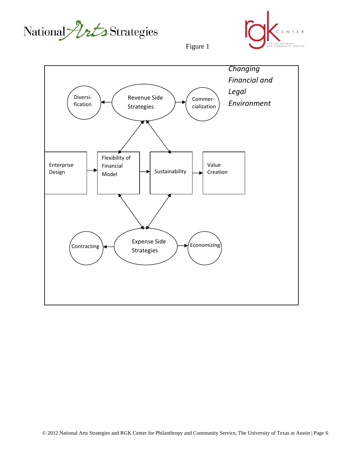



Figure 1

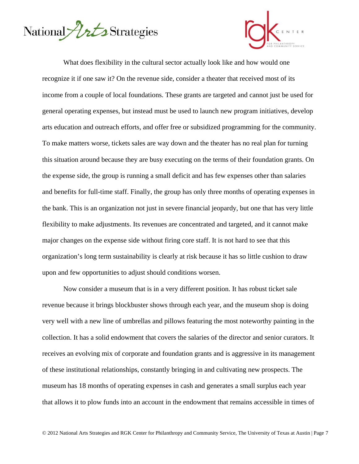



 What does flexibility in the cultural sector actually look like and how would one recognize it if one saw it? On the revenue side, consider a theater that received most of its income from a couple of local foundations. These grants are targeted and cannot just be used for general operating expenses, but instead must be used to launch new program initiatives, develop arts education and outreach efforts, and offer free or subsidized programming for the community. To make matters worse, tickets sales are way down and the theater has no real plan for turning this situation around because they are busy executing on the terms of their foundation grants. On the expense side, the group is running a small deficit and has few expenses other than salaries and benefits for full-time staff. Finally, the group has only three months of operating expenses in the bank. This is an organization not just in severe financial jeopardy, but one that has very little flexibility to make adjustments. Its revenues are concentrated and targeted, and it cannot make major changes on the expense side without firing core staff. It is not hard to see that this organization's long term sustainability is clearly at risk because it has so little cushion to draw upon and few opportunities to adjust should conditions worsen.

 Now consider a museum that is in a very different position. It has robust ticket sale revenue because it brings blockbuster shows through each year, and the museum shop is doing very well with a new line of umbrellas and pillows featuring the most noteworthy painting in the collection. It has a solid endowment that covers the salaries of the director and senior curators. It receives an evolving mix of corporate and foundation grants and is aggressive in its management of these institutional relationships, constantly bringing in and cultivating new prospects. The museum has 18 months of operating expenses in cash and generates a small surplus each year that allows it to plow funds into an account in the endowment that remains accessible in times of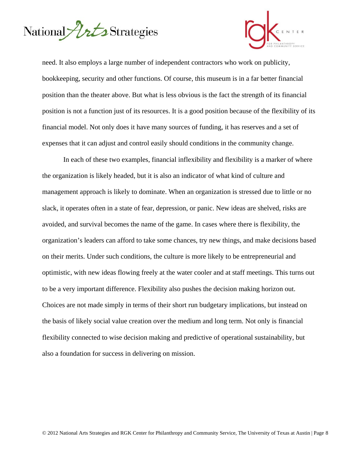



need. It also employs a large number of independent contractors who work on publicity, bookkeeping, security and other functions. Of course, this museum is in a far better financial position than the theater above. But what is less obvious is the fact the strength of its financial position is not a function just of its resources. It is a good position because of the flexibility of its financial model. Not only does it have many sources of funding, it has reserves and a set of expenses that it can adjust and control easily should conditions in the community change.

 In each of these two examples, financial inflexibility and flexibility is a marker of where the organization is likely headed, but it is also an indicator of what kind of culture and management approach is likely to dominate. When an organization is stressed due to little or no slack, it operates often in a state of fear, depression, or panic. New ideas are shelved, risks are avoided, and survival becomes the name of the game. In cases where there is flexibility, the organization's leaders can afford to take some chances, try new things, and make decisions based on their merits. Under such conditions, the culture is more likely to be entrepreneurial and optimistic, with new ideas flowing freely at the water cooler and at staff meetings. This turns out to be a very important difference. Flexibility also pushes the decision making horizon out. Choices are not made simply in terms of their short run budgetary implications, but instead on the basis of likely social value creation over the medium and long term. Not only is financial flexibility connected to wise decision making and predictive of operational sustainability, but also a foundation for success in delivering on mission.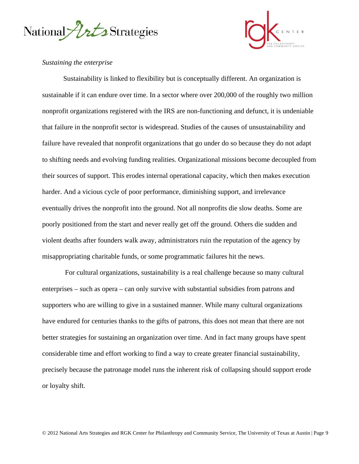



## *Sustaining the enterprise*

 Sustainability is linked to flexibility but is conceptually different. An organization is sustainable if it can endure over time. In a sector where over 200,000 of the roughly two million nonprofit organizations registered with the IRS are non-functioning and defunct, it is undeniable that failure in the nonprofit sector is widespread. Studies of the causes of unsustainability and failure have revealed that nonprofit organizations that go under do so because they do not adapt to shifting needs and evolving funding realities. Organizational missions become decoupled from their sources of support. This erodes internal operational capacity, which then makes execution harder. And a vicious cycle of poor performance, diminishing support, and irrelevance eventually drives the nonprofit into the ground. Not all nonprofits die slow deaths. Some are poorly positioned from the start and never really get off the ground. Others die sudden and violent deaths after founders walk away, administrators ruin the reputation of the agency by misappropriating charitable funds, or some programmatic failures hit the news.

 For cultural organizations, sustainability is a real challenge because so many cultural enterprises – such as opera – can only survive with substantial subsidies from patrons and supporters who are willing to give in a sustained manner. While many cultural organizations have endured for centuries thanks to the gifts of patrons, this does not mean that there are not better strategies for sustaining an organization over time. And in fact many groups have spent considerable time and effort working to find a way to create greater financial sustainability, precisely because the patronage model runs the inherent risk of collapsing should support erode or loyalty shift.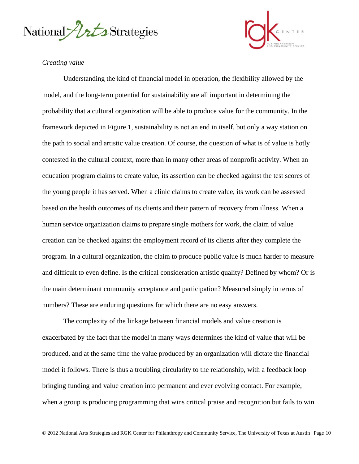



# *Creating value*

Understanding the kind of financial model in operation, the flexibility allowed by the model, and the long-term potential for sustainability are all important in determining the probability that a cultural organization will be able to produce value for the community. In the framework depicted in Figure 1, sustainability is not an end in itself, but only a way station on the path to social and artistic value creation. Of course, the question of what is of value is hotly contested in the cultural context, more than in many other areas of nonprofit activity. When an education program claims to create value, its assertion can be checked against the test scores of the young people it has served. When a clinic claims to create value, its work can be assessed based on the health outcomes of its clients and their pattern of recovery from illness. When a human service organization claims to prepare single mothers for work, the claim of value creation can be checked against the employment record of its clients after they complete the program. In a cultural organization, the claim to produce public value is much harder to measure and difficult to even define. Is the critical consideration artistic quality? Defined by whom? Or is the main determinant community acceptance and participation? Measured simply in terms of numbers? These are enduring questions for which there are no easy answers.

 The complexity of the linkage between financial models and value creation is exacerbated by the fact that the model in many ways determines the kind of value that will be produced, and at the same time the value produced by an organization will dictate the financial model it follows. There is thus a troubling circularity to the relationship, with a feedback loop bringing funding and value creation into permanent and ever evolving contact. For example, when a group is producing programming that wins critical praise and recognition but fails to win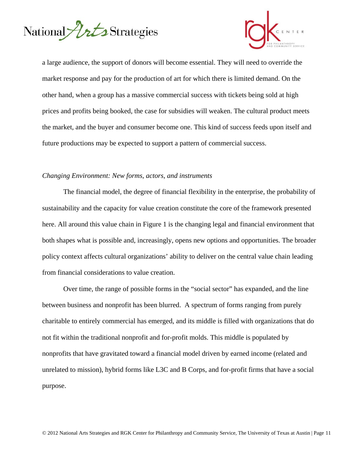



a large audience, the support of donors will become essential. They will need to override the market response and pay for the production of art for which there is limited demand. On the other hand, when a group has a massive commercial success with tickets being sold at high prices and profits being booked, the case for subsidies will weaken. The cultural product meets the market, and the buyer and consumer become one. This kind of success feeds upon itself and future productions may be expected to support a pattern of commercial success.

### *Changing Environment: New forms, actors, and instruments*

The financial model, the degree of financial flexibility in the enterprise, the probability of sustainability and the capacity for value creation constitute the core of the framework presented here. All around this value chain in Figure 1 is the changing legal and financial environment that both shapes what is possible and, increasingly, opens new options and opportunities. The broader policy context affects cultural organizations' ability to deliver on the central value chain leading from financial considerations to value creation.

Over time, the range of possible forms in the "social sector" has expanded, and the line between business and nonprofit has been blurred. A spectrum of forms ranging from purely charitable to entirely commercial has emerged, and its middle is filled with organizations that do not fit within the traditional nonprofit and for-profit molds. This middle is populated by nonprofits that have gravitated toward a financial model driven by earned income (related and unrelated to mission), hybrid forms like L3C and B Corps, and for-profit firms that have a social purpose.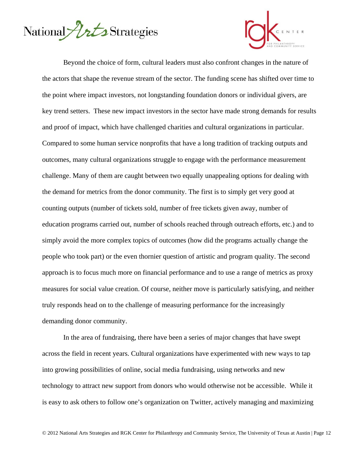



Beyond the choice of form, cultural leaders must also confront changes in the nature of the actors that shape the revenue stream of the sector. The funding scene has shifted over time to the point where impact investors, not longstanding foundation donors or individual givers, are key trend setters. These new impact investors in the sector have made strong demands for results and proof of impact, which have challenged charities and cultural organizations in particular. Compared to some human service nonprofits that have a long tradition of tracking outputs and outcomes, many cultural organizations struggle to engage with the performance measurement challenge. Many of them are caught between two equally unappealing options for dealing with the demand for metrics from the donor community. The first is to simply get very good at counting outputs (number of tickets sold, number of free tickets given away, number of education programs carried out, number of schools reached through outreach efforts, etc.) and to simply avoid the more complex topics of outcomes (how did the programs actually change the people who took part) or the even thornier question of artistic and program quality. The second approach is to focus much more on financial performance and to use a range of metrics as proxy measures for social value creation. Of course, neither move is particularly satisfying, and neither truly responds head on to the challenge of measuring performance for the increasingly demanding donor community.

In the area of fundraising, there have been a series of major changes that have swept across the field in recent years. Cultural organizations have experimented with new ways to tap into growing possibilities of online, social media fundraising, using networks and new technology to attract new support from donors who would otherwise not be accessible. While it is easy to ask others to follow one's organization on Twitter, actively managing and maximizing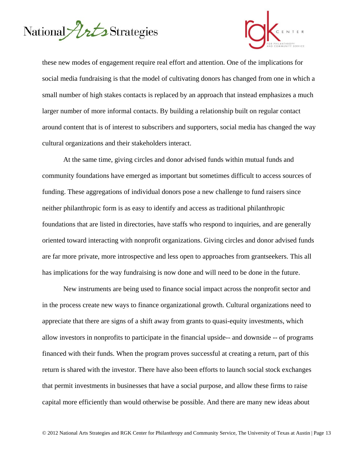



these new modes of engagement require real effort and attention. One of the implications for social media fundraising is that the model of cultivating donors has changed from one in which a small number of high stakes contacts is replaced by an approach that instead emphasizes a much larger number of more informal contacts. By building a relationship built on regular contact around content that is of interest to subscribers and supporters, social media has changed the way cultural organizations and their stakeholders interact.

At the same time, giving circles and donor advised funds within mutual funds and community foundations have emerged as important but sometimes difficult to access sources of funding. These aggregations of individual donors pose a new challenge to fund raisers since neither philanthropic form is as easy to identify and access as traditional philanthropic foundations that are listed in directories, have staffs who respond to inquiries, and are generally oriented toward interacting with nonprofit organizations. Giving circles and donor advised funds are far more private, more introspective and less open to approaches from grantseekers. This all has implications for the way fundraising is now done and will need to be done in the future.

New instruments are being used to finance social impact across the nonprofit sector and in the process create new ways to finance organizational growth. Cultural organizations need to appreciate that there are signs of a shift away from grants to quasi-equity investments, which allow investors in nonprofits to participate in the financial upside-- and downside -- of programs financed with their funds. When the program proves successful at creating a return, part of this return is shared with the investor. There have also been efforts to launch social stock exchanges that permit investments in businesses that have a social purpose, and allow these firms to raise capital more efficiently than would otherwise be possible. And there are many new ideas about